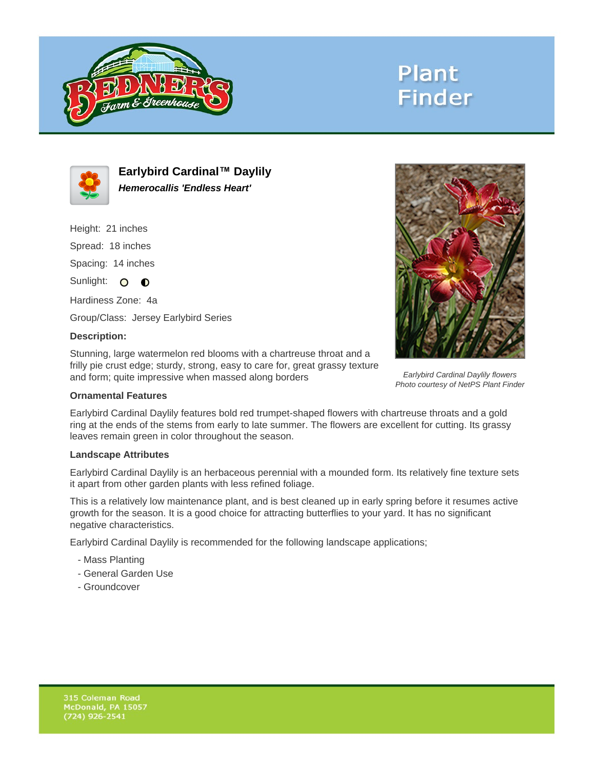





**Earlybird Cardinal™ Daylily Hemerocallis 'Endless Heart'**

Height: 21 inches Spread: 18 inches

Spacing: 14 inches

Sunlight: O **O** 

Hardiness Zone: 4a

Group/Class: Jersey Earlybird Series

## **Description:**

Stunning, large watermelon red blooms with a chartreuse throat and a frilly pie crust edge; sturdy, strong, easy to care for, great grassy texture and form; quite impressive when massed along borders

## **Ornamental Features**

Earlybird Cardinal Daylily features bold red trumpet-shaped flowers with chartreuse throats and a gold ring at the ends of the stems from early to late summer. The flowers are excellent for cutting. Its grassy leaves remain green in color throughout the season.

## **Landscape Attributes**

Earlybird Cardinal Daylily is an herbaceous perennial with a mounded form. Its relatively fine texture sets it apart from other garden plants with less refined foliage.

This is a relatively low maintenance plant, and is best cleaned up in early spring before it resumes active growth for the season. It is a good choice for attracting butterflies to your yard. It has no significant negative characteristics.

Earlybird Cardinal Daylily is recommended for the following landscape applications;

- Mass Planting
- General Garden Use
- Groundcover



Earlybird Cardinal Daylily flowers Photo courtesy of NetPS Plant Finder